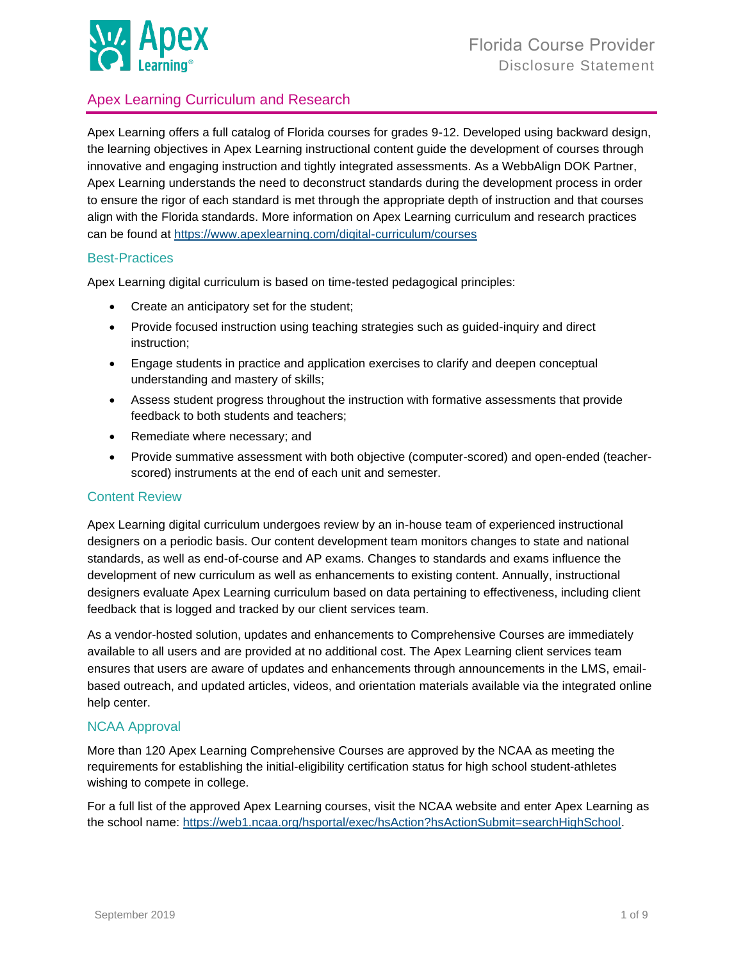

# Apex Learning Curriculum and Research

Apex Learning offers a full catalog of Florida courses for grades 9-12. Developed using backward design, the learning objectives in Apex Learning instructional content guide the development of courses through innovative and engaging instruction and tightly integrated assessments. As a WebbAlign DOK Partner, Apex Learning understands the need to deconstruct standards during the development process in order to ensure the rigor of each standard is met through the appropriate depth of instruction and that courses align with the Florida standards. More information on Apex Learning curriculum and research practices can be found at<https://www.apexlearning.com/digital-curriculum/courses>

### Best-Practices

Apex Learning digital curriculum is based on time-tested pedagogical principles:

- Create an anticipatory set for the student;
- Provide focused instruction using teaching strategies such as guided-inquiry and direct instruction;
- Engage students in practice and application exercises to clarify and deepen conceptual understanding and mastery of skills;
- Assess student progress throughout the instruction with formative assessments that provide feedback to both students and teachers;
- Remediate where necessary; and
- Provide summative assessment with both objective (computer-scored) and open-ended (teacherscored) instruments at the end of each unit and semester.

### Content Review

Apex Learning digital curriculum undergoes review by an in-house team of experienced instructional designers on a periodic basis. Our content development team monitors changes to state and national standards, as well as end-of-course and AP exams. Changes to standards and exams influence the development of new curriculum as well as enhancements to existing content. Annually, instructional designers evaluate Apex Learning curriculum based on data pertaining to effectiveness, including client feedback that is logged and tracked by our client services team.

As a vendor-hosted solution, updates and enhancements to Comprehensive Courses are immediately available to all users and are provided at no additional cost. The Apex Learning client services team ensures that users are aware of updates and enhancements through announcements in the LMS, emailbased outreach, and updated articles, videos, and orientation materials available via the integrated online help center.

### NCAA Approval

More than 120 Apex Learning Comprehensive Courses are approved by the NCAA as meeting the requirements for establishing the initial-eligibility certification status for high school student-athletes wishing to compete in college.

For a full list of the approved Apex Learning courses, visit the NCAA website and enter Apex Learning as the school name: [https://web1.ncaa.org/hsportal/exec/hsAction?hsActionSubmit=searchHighSchool.](https://web1.ncaa.org/hsportal/exec/hsAction?hsActionSubmit=searchHighSchool)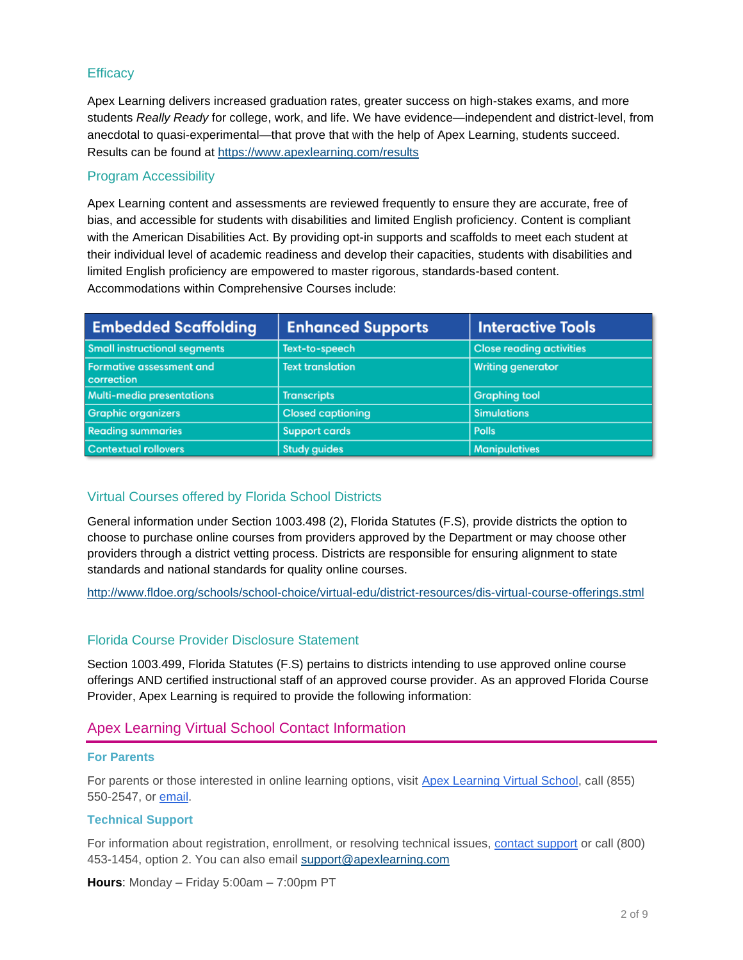## **Efficacy**

Apex Learning delivers increased graduation rates, greater success on high-stakes exams, and more students *Really Ready* for college, work, and life. We have evidence—independent and district-level, from anecdotal to quasi-experimental—that prove that with the help of Apex Learning, students succeed. Results can be found at <https://www.apexlearning.com/results>

## Program Accessibility

Apex Learning content and assessments are reviewed frequently to ensure they are accurate, free of bias, and accessible for students with disabilities and limited English proficiency. Content is compliant with the American Disabilities Act. By providing opt-in supports and scaffolds to meet each student at their individual level of academic readiness and develop their capacities, students with disabilities and limited English proficiency are empowered to master rigorous, standards-based content. Accommodations within Comprehensive Courses include:

| <b>Embedded Scaffolding</b>                   | <b>Enhanced Supports</b> | <b>Interactive Tools</b>        |
|-----------------------------------------------|--------------------------|---------------------------------|
| <b>Small instructional segments</b>           | Text-to-speech           | <b>Close reading activities</b> |
| <b>Formative assessment and</b><br>correction | <b>Text translation</b>  | <b>Writing generator</b>        |
| Multi-media presentations                     | <b>Transcripts</b>       | <b>Graphing tool</b>            |
| <b>Graphic organizers</b>                     | <b>Closed captioning</b> | <b>Simulations</b>              |
| <b>Reading summaries</b>                      | <b>Support cards</b>     | <b>Polls</b>                    |
| Contextual rollovers                          | <b>Study guides</b>      | <b>Manipulatives</b>            |

## Virtual Courses offered by Florida School Districts

General information under Section 1003.498 (2), Florida Statutes (F.S), provide districts the option to choose to purchase online courses from providers approved by the Department or may choose other providers through a district vetting process. Districts are responsible for ensuring alignment to state standards and national standards for quality online courses.

<http://www.fldoe.org/schools/school-choice/virtual-edu/district-resources/dis-virtual-course-offerings.stml>

### Florida Course Provider Disclosure Statement

Section 1003.499, Florida Statutes (F.S) pertains to districts intending to use approved online course offerings AND certified instructional staff of an approved course provider. As an approved Florida Course Provider, Apex Learning is required to provide the following information:

# Apex Learning Virtual School Contact Information

#### **For Parents**

For parents or those interested in online learning options, visit [Apex Learning Virtual School,](http://apexlearningvs.com/) call (855) 550-2547, or [email.](http://www.apexlearningvs.com/inquire)

### **Technical Support**

For information about registration, enrollment, or resolving technical issues, [contact support](http://support.apexlearning.com/contact) or call (800) 453-1454, option 2. You can also email [support@apexlearning.com](mailto:support@apexlearning.com)

**Hours**: Monday – Friday 5:00am – 7:00pm PT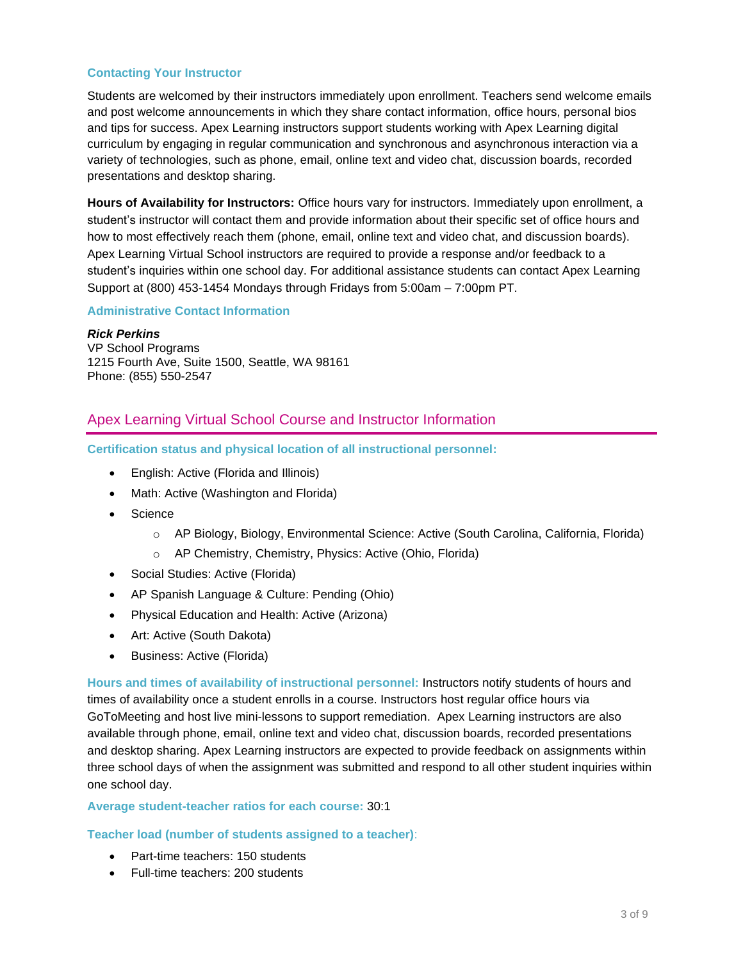### **Contacting Your Instructor**

Students are welcomed by their instructors immediately upon enrollment. Teachers send welcome emails and post welcome announcements in which they share contact information, office hours, personal bios and tips for success. Apex Learning instructors support students working with Apex Learning digital curriculum by engaging in regular communication and synchronous and asynchronous interaction via a variety of technologies, such as phone, email, online text and video chat, discussion boards, recorded presentations and desktop sharing.

**Hours of Availability for Instructors:** Office hours vary for instructors. Immediately upon enrollment, a student's instructor will contact them and provide information about their specific set of office hours and how to most effectively reach them (phone, email, online text and video chat, and discussion boards). Apex Learning Virtual School instructors are required to provide a response and/or feedback to a student's inquiries within one school day. For additional assistance students can contact Apex Learning Support at (800) 453-1454 Mondays through Fridays from 5:00am – 7:00pm PT.

### **Administrative Contact Information**

*Rick Perkins* VP School Programs 1215 Fourth Ave, Suite 1500, Seattle, WA 98161 Phone: (855) 550-2547

# Apex Learning Virtual School Course and Instructor Information

**Certification status and physical location of all instructional personnel:**

- English: Active (Florida and Illinois)
- Math: Active (Washington and Florida)
- Science
	- o AP Biology, Biology, Environmental Science: Active (South Carolina, California, Florida)
	- o AP Chemistry, Chemistry, Physics: Active (Ohio, Florida)
- Social Studies: Active (Florida)
- AP Spanish Language & Culture: Pending (Ohio)
- Physical Education and Health: Active (Arizona)
- Art: Active (South Dakota)
- Business: Active (Florida)

**Hours and times of availability of instructional personnel:** Instructors notify students of hours and times of availability once a student enrolls in a course. Instructors host regular office hours via GoToMeeting and host live mini-lessons to support remediation. Apex Learning instructors are also available through phone, email, online text and video chat, discussion boards, recorded presentations and desktop sharing. Apex Learning instructors are expected to provide feedback on assignments within three school days of when the assignment was submitted and respond to all other student inquiries within one school day.

**Average student-teacher ratios for each course:** 30:1

**Teacher load (number of students assigned to a teacher)**:

- Part-time teachers: 150 students
- Full-time teachers: 200 students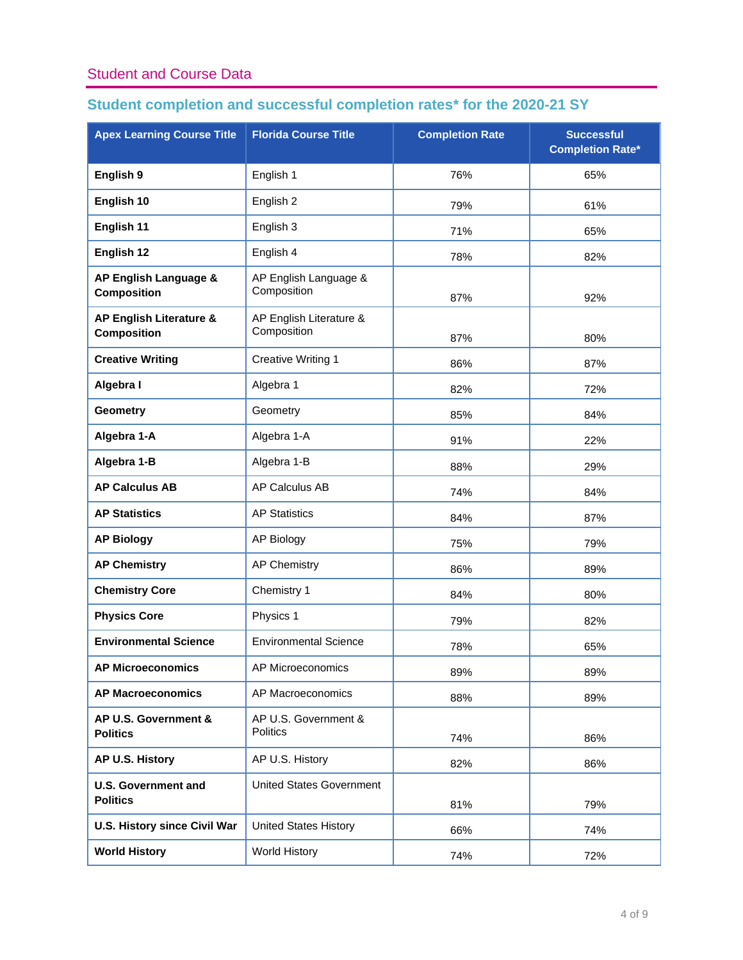# Student and Course Data

# **Student completion and successful completion rates\* for the 2020-21 SY**

| <b>Apex Learning Course Title</b>             | <b>Florida Course Title</b>            | <b>Completion Rate</b> | <b>Successful</b><br><b>Completion Rate*</b> |
|-----------------------------------------------|----------------------------------------|------------------------|----------------------------------------------|
| English 9                                     | English 1                              | 76%                    | 65%                                          |
| English 10                                    | English 2                              | 79%                    | 61%                                          |
| English 11                                    | English 3                              | 71%                    | 65%                                          |
| English 12                                    | English 4                              | 78%                    | 82%                                          |
| AP English Language &<br><b>Composition</b>   | AP English Language &<br>Composition   | 87%                    | 92%                                          |
| AP English Literature &<br><b>Composition</b> | AP English Literature &<br>Composition | 87%                    | 80%                                          |
| <b>Creative Writing</b>                       | <b>Creative Writing 1</b>              | 86%                    | 87%                                          |
| Algebra I                                     | Algebra 1                              | 82%                    | 72%                                          |
| <b>Geometry</b>                               | Geometry                               | 85%                    | 84%                                          |
| Algebra 1-A                                   | Algebra 1-A                            | 91%                    | 22%                                          |
| Algebra 1-B                                   | Algebra 1-B                            | 88%                    | 29%                                          |
| <b>AP Calculus AB</b>                         | AP Calculus AB                         | 74%                    | 84%                                          |
| <b>AP Statistics</b>                          | <b>AP Statistics</b>                   | 84%                    | 87%                                          |
| <b>AP Biology</b>                             | <b>AP Biology</b>                      | 75%                    | 79%                                          |
| <b>AP Chemistry</b>                           | <b>AP Chemistry</b>                    | 86%                    | 89%                                          |
| <b>Chemistry Core</b>                         | Chemistry 1                            | 84%                    | 80%                                          |
| <b>Physics Core</b>                           | Physics 1                              | 79%                    | 82%                                          |
| <b>Environmental Science</b>                  | <b>Environmental Science</b>           | 78%                    | 65%                                          |
| <b>AP Microeconomics</b>                      | AP Microeconomics                      | 89%                    | 89%                                          |
| <b>AP Macroeconomics</b>                      | AP Macroeconomics                      | 88%                    | 89%                                          |
| AP U.S. Government &<br><b>Politics</b>       | AP U.S. Government &<br>Politics       | 74%                    | 86%                                          |
| AP U.S. History                               | AP U.S. History                        | 82%                    | 86%                                          |
| <b>U.S. Government and</b><br><b>Politics</b> | <b>United States Government</b>        | 81%                    | 79%                                          |
| U.S. History since Civil War                  | <b>United States History</b>           | 66%                    | 74%                                          |
| <b>World History</b>                          | World History                          | 74%                    | 72%                                          |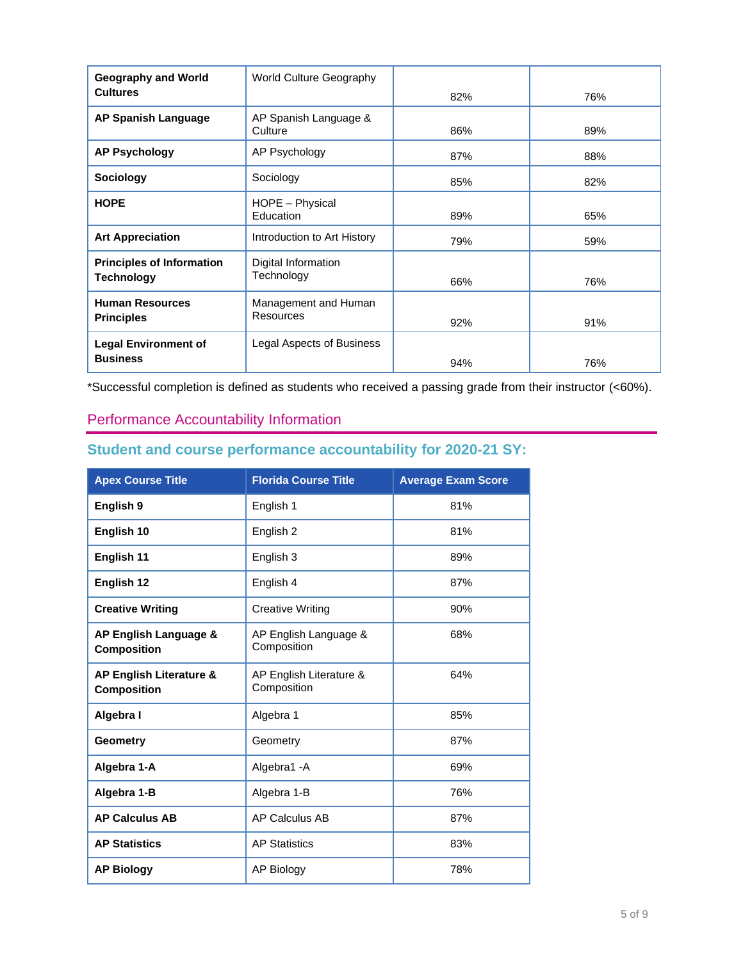| <b>Geography and World</b>                            | <b>World Culture Geography</b>           |     |     |
|-------------------------------------------------------|------------------------------------------|-----|-----|
| <b>Cultures</b>                                       |                                          | 82% | 76% |
| <b>AP Spanish Language</b>                            | AP Spanish Language &<br>Culture         | 86% | 89% |
| <b>AP Psychology</b>                                  | AP Psychology                            | 87% | 88% |
| Sociology                                             | Sociology                                | 85% | 82% |
| <b>HOPE</b>                                           | HOPE - Physical<br>Education             | 89% | 65% |
| <b>Art Appreciation</b>                               | Introduction to Art History              | 79% | 59% |
| <b>Principles of Information</b><br><b>Technology</b> | Digital Information<br>Technology        | 66% | 76% |
| <b>Human Resources</b><br><b>Principles</b>           | Management and Human<br><b>Resources</b> | 92% | 91% |
| <b>Legal Environment of</b>                           | Legal Aspects of Business                |     |     |
| <b>Business</b>                                       |                                          | 94% | 76% |

\*Successful completion is defined as students who received a passing grade from their instructor (<60%).

# Performance Accountability Information

# **Student and course performance accountability for 2020-21 SY:**

| <b>Apex Course Title</b>                      | <b>Florida Course Title</b>            | <b>Average Exam Score</b> |
|-----------------------------------------------|----------------------------------------|---------------------------|
| English 9                                     | English 1                              | 81%                       |
| English 10                                    | English 2                              | 81%                       |
| English 11                                    | English 3                              | 89%                       |
| English 12                                    | English 4                              | 87%                       |
| <b>Creative Writing</b>                       | <b>Creative Writing</b>                | 90%                       |
| AP English Language &<br><b>Composition</b>   | AP English Language &<br>Composition   | 68%                       |
| AP English Literature &<br><b>Composition</b> | AP English Literature &<br>Composition | 64%                       |
| Algebra I                                     | Algebra 1                              | 85%                       |
| Geometry                                      | Geometry                               | 87%                       |
| Algebra 1-A                                   | Algebra1 - A                           | 69%                       |
| Algebra 1-B                                   | Algebra 1-B                            | 76%                       |
| <b>AP Calculus AB</b>                         | <b>AP Calculus AB</b>                  | 87%                       |
| <b>AP Statistics</b>                          | <b>AP Statistics</b>                   | 83%                       |
| <b>AP Biology</b>                             | <b>AP Biology</b>                      | 78%                       |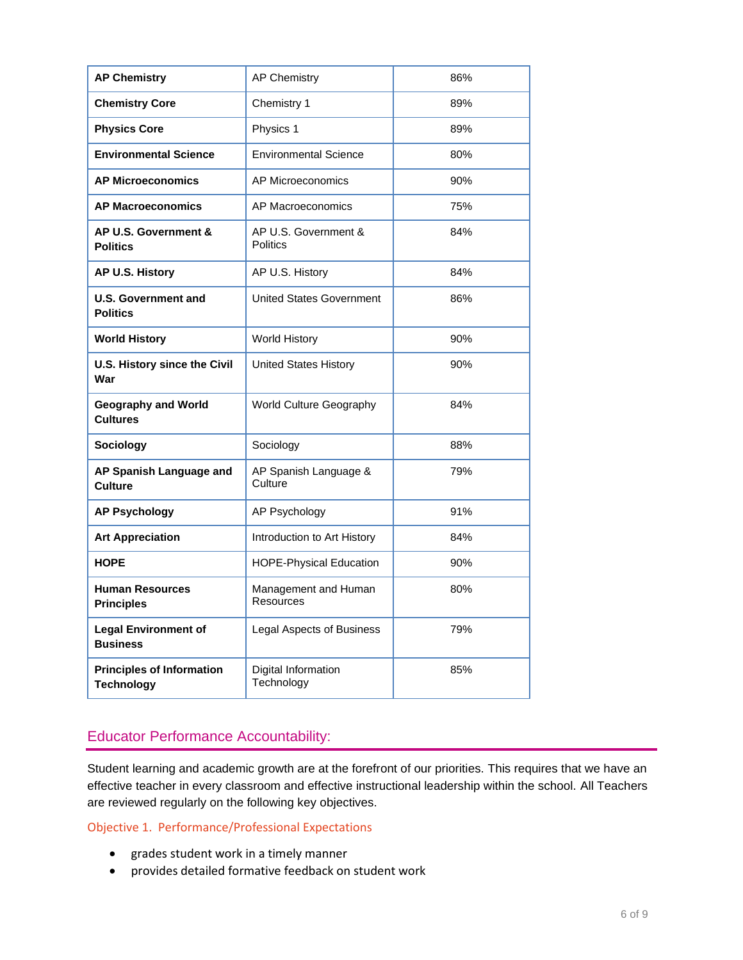| <b>AP Chemistry</b>                                   | <b>AP Chemistry</b>                     | 86% |
|-------------------------------------------------------|-----------------------------------------|-----|
| <b>Chemistry Core</b>                                 | Chemistry 1                             | 89% |
| <b>Physics Core</b>                                   | Physics 1                               | 89% |
| <b>Environmental Science</b>                          | <b>Environmental Science</b>            | 80% |
| <b>AP Microeconomics</b>                              | AP Microeconomics                       | 90% |
| <b>AP Macroeconomics</b>                              | AP Macroeconomics                       | 75% |
| AP U.S. Government &<br><b>Politics</b>               | AP U.S. Government &<br><b>Politics</b> | 84% |
| AP U.S. History                                       | AP U.S. History                         | 84% |
| <b>U.S. Government and</b><br><b>Politics</b>         | <b>United States Government</b>         | 86% |
| <b>World History</b>                                  | <b>World History</b>                    | 90% |
| U.S. History since the Civil<br>War                   | <b>United States History</b>            | 90% |
| <b>Geography and World</b><br><b>Cultures</b>         | World Culture Geography                 | 84% |
| <b>Sociology</b>                                      | Sociology                               | 88% |
| AP Spanish Language and<br><b>Culture</b>             | AP Spanish Language &<br>Culture        | 79% |
| <b>AP Psychology</b>                                  | AP Psychology                           | 91% |
| <b>Art Appreciation</b>                               | Introduction to Art History             | 84% |
| <b>HOPE</b>                                           | <b>HOPE-Physical Education</b>          | 90% |
| <b>Human Resources</b><br><b>Principles</b>           | Management and Human<br>Resources       | 80% |
| <b>Legal Environment of</b><br><b>Business</b>        | <b>Legal Aspects of Business</b>        | 79% |
| <b>Principles of Information</b><br><b>Technology</b> | Digital Information<br>Technology       | 85% |

# Educator Performance Accountability:

Student learning and academic growth are at the forefront of our priorities. This requires that we have an effective teacher in every classroom and effective instructional leadership within the school. All Teachers are reviewed regularly on the following key objectives.

## Objective 1. Performance/Professional Expectations

- grades student work in a timely manner
- provides detailed formative feedback on student work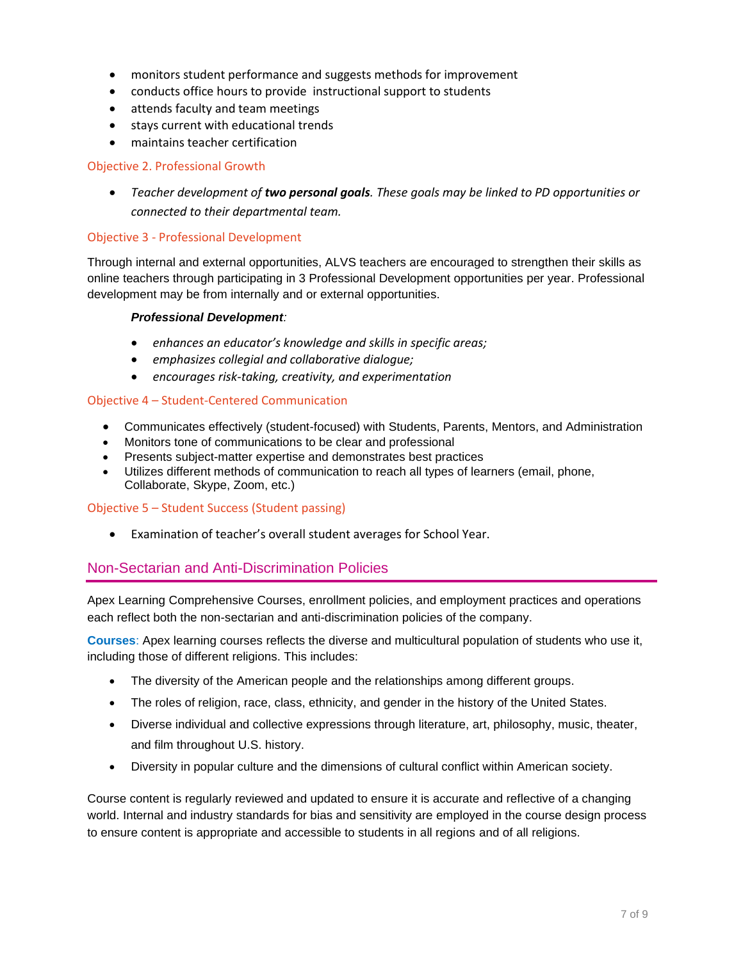- monitors student performance and suggests methods for improvement
- conducts office hours to provide instructional support to students
- attends faculty and team meetings
- stays current with educational trends
- maintains teacher certification

### Objective 2. Professional Growth

• *Teacher development of two personal goals. These goals may be linked to PD opportunities or connected to their departmental team.*

### Objective 3 - Professional Development

Through internal and external opportunities, ALVS teachers are encouraged to strengthen their skills as online teachers through participating in 3 Professional Development opportunities per year. Professional development may be from internally and or external opportunities.

#### *Professional Development:*

- *enhances an educator's knowledge and skills in specific areas;*
- *emphasizes collegial and collaborative dialogue;*
- *encourages risk-taking, creativity, and experimentation*

### Objective 4 – Student-Centered Communication

- Communicates effectively (student-focused) with Students, Parents, Mentors, and Administration
- Monitors tone of communications to be clear and professional
- Presents subject-matter expertise and demonstrates best practices
- Utilizes different methods of communication to reach all types of learners (email, phone, Collaborate, Skype, Zoom, etc.)

#### Objective 5 – Student Success (Student passing)

• Examination of teacher's overall student averages for School Year.

## Non-Sectarian and Anti-Discrimination Policies

Apex Learning Comprehensive Courses, enrollment policies, and employment practices and operations each reflect both the non-sectarian and anti-discrimination policies of the company.

**Courses**: Apex learning courses reflects the diverse and multicultural population of students who use it, including those of different religions. This includes:

- The diversity of the American people and the relationships among different groups.
- The roles of religion, race, class, ethnicity, and gender in the history of the United States.
- Diverse individual and collective expressions through literature, art, philosophy, music, theater, and film throughout U.S. history.
- Diversity in popular culture and the dimensions of cultural conflict within American society.

Course content is regularly reviewed and updated to ensure it is accurate and reflective of a changing world. Internal and industry standards for bias and sensitivity are employed in the course design process to ensure content is appropriate and accessible to students in all regions and of all religions.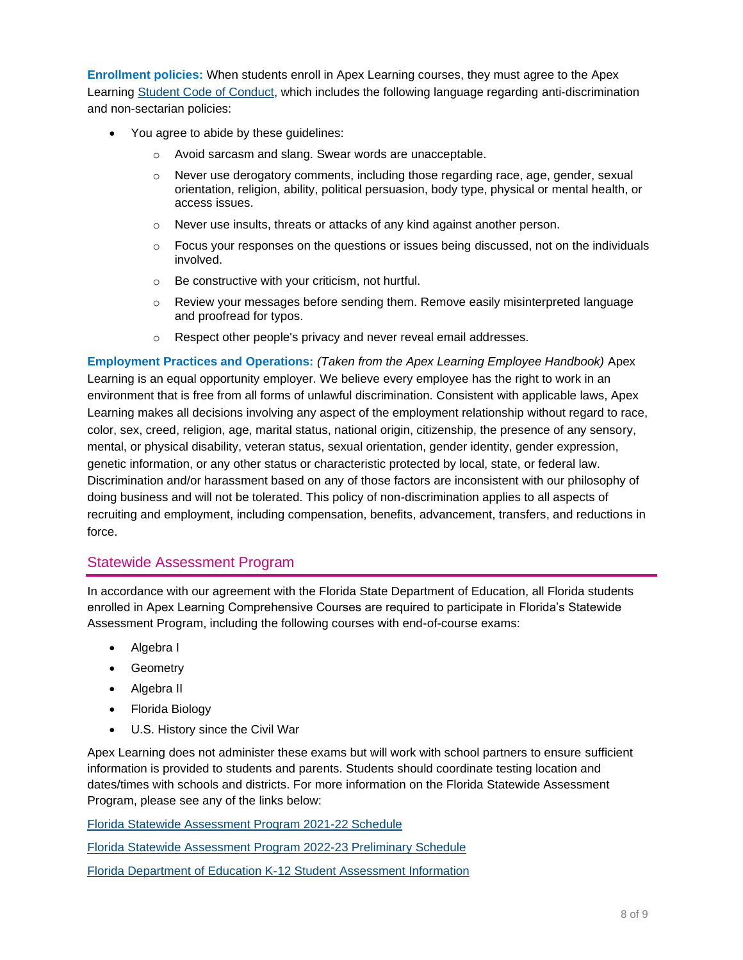**Enrollment policies:** When students enroll in Apex Learning courses, they must agree to the Apex Learning [Student Code of Conduct,](http://www.apexlearningvs.com/full-time-high-school/admissions/student-code-of-conduct) which includes the following language regarding anti-discrimination and non-sectarian policies:

- You agree to abide by these guidelines:
	- o Avoid sarcasm and slang. Swear words are unacceptable.
	- $\circ$  Never use derogatory comments, including those regarding race, age, gender, sexual orientation, religion, ability, political persuasion, body type, physical or mental health, or access issues.
	- $\circ$  Never use insults, threats or attacks of any kind against another person.
	- $\circ$  Focus your responses on the questions or issues being discussed, not on the individuals involved.
	- o Be constructive with your criticism, not hurtful.
	- $\circ$  Review your messages before sending them. Remove easily misinterpreted language and proofread for typos.
	- o Respect other people's privacy and never reveal email addresses.

**Employment Practices and Operations:** *(Taken from the Apex Learning Employee Handbook)* Apex Learning is an equal opportunity employer. We believe every employee has the right to work in an environment that is free from all forms of unlawful discrimination. Consistent with applicable laws, Apex Learning makes all decisions involving any aspect of the employment relationship without regard to race, color, sex, creed, religion, age, marital status, national origin, citizenship, the presence of any sensory, mental, or physical disability, veteran status, sexual orientation, gender identity, gender expression, genetic information, or any other status or characteristic protected by local, state, or federal law. Discrimination and/or harassment based on any of those factors are inconsistent with our philosophy of doing business and will not be tolerated. This policy of non-discrimination applies to all aspects of recruiting and employment, including compensation, benefits, advancement, transfers, and reductions in force.

## Statewide Assessment Program

In accordance with our agreement with the Florida State Department of Education, all Florida students enrolled in Apex Learning Comprehensive Courses are required to participate in Florida's Statewide Assessment Program, including the following courses with end-of-course exams:

- Algebra I
- Geometry
- Algebra II
- Florida Biology
- U.S. History since the Civil War

Apex Learning does not administer these exams but will work with school partners to ensure sufficient information is provided to students and parents. Students should coordinate testing location and dates/times with schools and districts. For more information on the Florida Statewide Assessment Program, please see any of the links below:

[Florida Statewide Assessment Program 2021-22 Schedule](https://info.fldoe.org/docushare/dsweb/Get/Document-8789/dps-2019-197a.pdf)

Florida Statewide [Assessment Program 2022-23 Preliminary Schedule](https://www.fldoe.org/core/fileparse.php/5663/urlt/2223StatewideAssessmentSched.pdf)

[Florida Department of Education K-12 Student Assessment Information](http://www.fldoe.org/accountability/assessments/k-12-student-assessment)